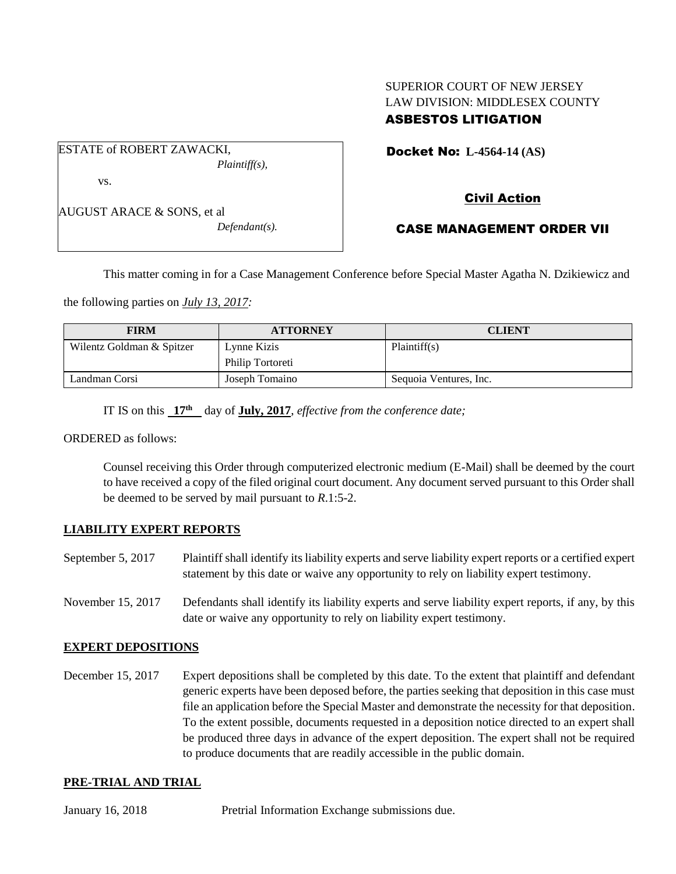## SUPERIOR COURT OF NEW JERSEY LAW DIVISION: MIDDLESEX COUNTY ASBESTOS LITIGATION

ESTATE of ROBERT ZAWACKI, *Plaintiff(s),* vs.

AUGUST ARACE & SONS, et al

*Defendant(s).*

Docket No: **L-4564-14 (AS)** 

# Civil Action

# CASE MANAGEMENT ORDER VII

This matter coming in for a Case Management Conference before Special Master Agatha N. Dzikiewicz and

the following parties on *July 13, 2017:*

| <b>FIRM</b>               | <b>ATTORNEY</b>  | <b>CLIENT</b>          |
|---------------------------|------------------|------------------------|
| Wilentz Goldman & Spitzer | Lynne Kizis      | Plaintiff(s)           |
|                           | Philip Tortoreti |                        |
| Landman Corsi             | Joseph Tomaino   | Sequoia Ventures, Inc. |

IT IS on this **17th** day of **July, 2017**, *effective from the conference date;*

ORDERED as follows:

Counsel receiving this Order through computerized electronic medium (E-Mail) shall be deemed by the court to have received a copy of the filed original court document. Any document served pursuant to this Order shall be deemed to be served by mail pursuant to *R*.1:5-2.

#### **LIABILITY EXPERT REPORTS**

- September 5, 2017 Plaintiff shall identify its liability experts and serve liability expert reports or a certified expert statement by this date or waive any opportunity to rely on liability expert testimony.
- November 15, 2017 Defendants shall identify its liability experts and serve liability expert reports, if any, by this date or waive any opportunity to rely on liability expert testimony.

## **EXPERT DEPOSITIONS**

December 15, 2017 Expert depositions shall be completed by this date. To the extent that plaintiff and defendant generic experts have been deposed before, the parties seeking that deposition in this case must file an application before the Special Master and demonstrate the necessity for that deposition. To the extent possible, documents requested in a deposition notice directed to an expert shall be produced three days in advance of the expert deposition. The expert shall not be required to produce documents that are readily accessible in the public domain.

## **PRE-TRIAL AND TRIAL**

January 16, 2018 Pretrial Information Exchange submissions due.